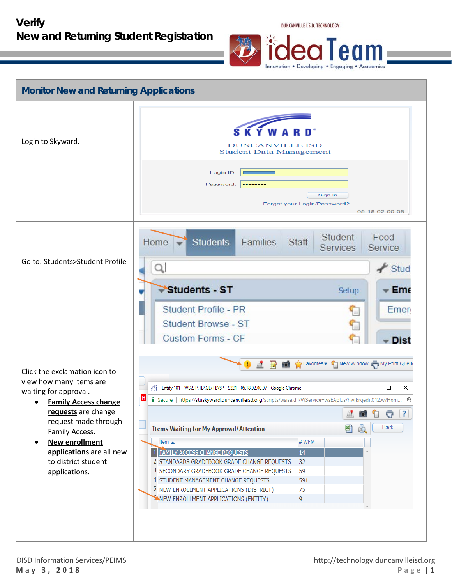# **Verify New and Returning Student Registration**



| <b>Monitor New and Returning Applications</b>                                                                                                                                                                                                                                  |                                                                                                                                                                                                                                                                                                                                                                                                                                                                                                                                                          |  |  |
|--------------------------------------------------------------------------------------------------------------------------------------------------------------------------------------------------------------------------------------------------------------------------------|----------------------------------------------------------------------------------------------------------------------------------------------------------------------------------------------------------------------------------------------------------------------------------------------------------------------------------------------------------------------------------------------------------------------------------------------------------------------------------------------------------------------------------------------------------|--|--|
| Login to Skyward.                                                                                                                                                                                                                                                              | <b>DUNCANVILLE ISD</b><br><b>Student Data Management</b><br>Login ID:<br>Password:<br>Sign In<br>Forgot your Login/Password?                                                                                                                                                                                                                                                                                                                                                                                                                             |  |  |
|                                                                                                                                                                                                                                                                                | 05.18.02.00.08                                                                                                                                                                                                                                                                                                                                                                                                                                                                                                                                           |  |  |
|                                                                                                                                                                                                                                                                                | Student<br>Food<br><b>Students</b><br>Families<br>Home<br><b>Staff</b><br><b>Services</b><br>Service                                                                                                                                                                                                                                                                                                                                                                                                                                                     |  |  |
| Go to: Students>Student Profile                                                                                                                                                                                                                                                | $\frac{1}{2}$ Stud                                                                                                                                                                                                                                                                                                                                                                                                                                                                                                                                       |  |  |
|                                                                                                                                                                                                                                                                                |                                                                                                                                                                                                                                                                                                                                                                                                                                                                                                                                                          |  |  |
|                                                                                                                                                                                                                                                                                | Students - ST<br>Eme<br>Setup                                                                                                                                                                                                                                                                                                                                                                                                                                                                                                                            |  |  |
|                                                                                                                                                                                                                                                                                | <b>Student Profile - PR</b><br>Emer                                                                                                                                                                                                                                                                                                                                                                                                                                                                                                                      |  |  |
|                                                                                                                                                                                                                                                                                | <b>Student Browse - ST</b>                                                                                                                                                                                                                                                                                                                                                                                                                                                                                                                               |  |  |
|                                                                                                                                                                                                                                                                                | <b>Custom Forms - CF</b><br><b>Dist</b>                                                                                                                                                                                                                                                                                                                                                                                                                                                                                                                  |  |  |
| Click the exclamation icon to<br>view how many items are<br>waiting for approval.<br><b>Family Access change</b><br>requests are change<br>request made through<br>Family Access.<br><b>New enrollment</b><br>applications are all new<br>to district student<br>applications. | Favorites v T New Window N My Print Queur<br>Fig. - Entity 101 - WS\ST\TB\GE\TB\SP - 9321 - 05.18.02.00.07 - Google Chrome<br>□<br>x<br>Н<br>△ Secure https://stuskyward.duncanvilleisd.org/scripts/wsisa.dll/WService=wsEAplus/hwrkrqedit012.w?Hom @<br>A. 16 1 17 2<br>Back<br><b>Items Waiting for My Approval/Attention</b><br>짴<br>Item ▲<br>#WFM<br>1 FAMILY ACCESS CHANGE REQUESTS<br>14<br>2 STANDARDS GRADEBOOK GRADE CHANGE REQUESTS<br>32<br>3 SECONDARY GRADEBOOK GRADE CHANGE REQUESTS<br>59<br>4 STUDENT MANAGEMENT CHANGE REQUESTS<br>591 |  |  |
|                                                                                                                                                                                                                                                                                | 5 NEW ENROLLMENT APPLICATIONS (DISTRICT)<br>75<br><b>GANEW ENROLLMENT APPLICATIONS (ENTITY)</b>                                                                                                                                                                                                                                                                                                                                                                                                                                                          |  |  |
|                                                                                                                                                                                                                                                                                | 9                                                                                                                                                                                                                                                                                                                                                                                                                                                                                                                                                        |  |  |
|                                                                                                                                                                                                                                                                                |                                                                                                                                                                                                                                                                                                                                                                                                                                                                                                                                                          |  |  |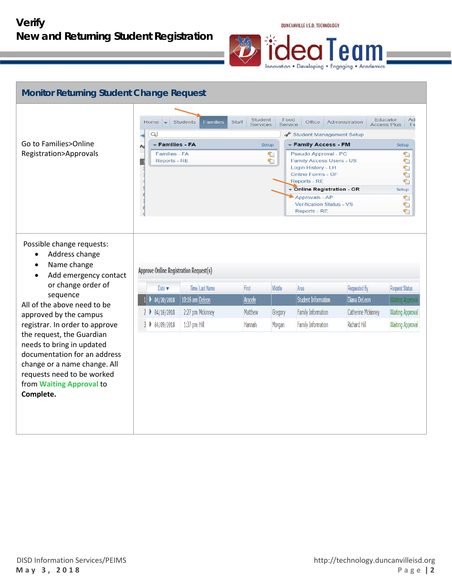## **Verify New and Returning Student Registration**



| <b>Monitor Returning Student Change Request</b>                                                                                                                                                                                                                                                                                                                                                                                |                                                                                                                                                                                                                                                                                                            |                                                                                                                                                                                                                                                                                                                                                                                                       |  |  |
|--------------------------------------------------------------------------------------------------------------------------------------------------------------------------------------------------------------------------------------------------------------------------------------------------------------------------------------------------------------------------------------------------------------------------------|------------------------------------------------------------------------------------------------------------------------------------------------------------------------------------------------------------------------------------------------------------------------------------------------------------|-------------------------------------------------------------------------------------------------------------------------------------------------------------------------------------------------------------------------------------------------------------------------------------------------------------------------------------------------------------------------------------------------------|--|--|
| Go to Families>Online<br>Registration>Approvals                                                                                                                                                                                                                                                                                                                                                                                | Student<br>Food<br>Students<br>Staff<br>Families<br>Home $\rightarrow$<br><b>Services</b><br>Service<br>$\alpha$<br>- Families - FA<br><b>Setup</b><br>A<br>Families - FA<br>۹ī<br>Reports - RE<br>☜                                                                                                       | Educator<br>Ad<br>Office<br>Administration<br><b>Access Plus</b><br>Fe<br>Student Management Setup<br>- Family Access - FM<br>Setup<br>Pseudo Approval - PC<br>t<br>Family Access Users - US<br>t<br>Login History - LH<br>ਥ<br><b>Online Forms - OF</b><br>T.<br>Reports - RE<br>t<br>Dnline Registration - OR<br>Setup<br>t<br>Approvals - AP<br>€<br>Verification Status - VS<br>t<br>Reports - RE |  |  |
| Possible change requests:<br>Address change<br>Name change<br>Add emergency contact<br>$\bullet$<br>or change order of<br>sequence<br>All of the above need to be<br>approved by the campus<br>registrar. In order to approve<br>the request, the Guardian<br>needs to bring in updated<br>documentation for an address<br>change or a name change. All<br>requests need to be worked<br>from Waiting Approval to<br>Complete. | <b>Approve Online Registration Request(s)</b><br>Time Last Name<br>First<br>Middle<br>Area<br>Date $\blacktriangledown$<br>10:16 am Deleon<br>04/20/2018<br><b>Aracely</b><br>2:27 pm Mckinney<br>Matthew<br>04/16/2018<br>Gregory<br>1:37 pm Hill<br>04/09/2018<br>Hannah<br>$3 \triangleright$<br>Morgan | <b>Request Status</b><br>Requested By<br>Student Information<br>Diana DeLeon<br><b>Waiting Approval</b><br>Catherine Mckinney<br>Family Information<br><b>Waiting Approval</b><br>Richard Hill<br>Family Information<br><b>Waiting Approval</b>                                                                                                                                                       |  |  |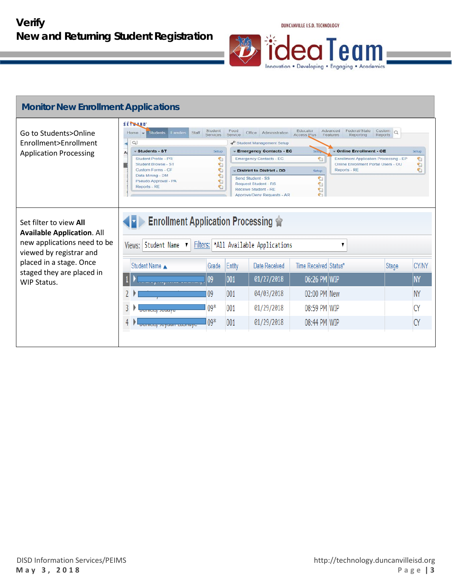

| <b>Monitor New Enrollment Applications</b>                                                                            |                                                                                                                                                                                                                  |                                                             |                 |                                                                                                                                                                                                                                                           |                                                                                                          |                                                                                                                                                                                      |                          |                             |
|-----------------------------------------------------------------------------------------------------------------------|------------------------------------------------------------------------------------------------------------------------------------------------------------------------------------------------------------------|-------------------------------------------------------------|-----------------|-----------------------------------------------------------------------------------------------------------------------------------------------------------------------------------------------------------------------------------------------------------|----------------------------------------------------------------------------------------------------------|--------------------------------------------------------------------------------------------------------------------------------------------------------------------------------------|--------------------------|-----------------------------|
| Go to Students>Online<br>Enrollment>Enrollment<br><b>Application Processing</b>                                       | SKYWARD'<br>Home - Students Families<br>Staff<br>$Q_1$<br>- Students - ST<br>Student Profile - PR<br><b>Student Browse - ST</b><br>Custom Forms - CF<br>Data Mining - DM<br>Pseudo Approval - PA<br>Reports - RE | Student<br>Services<br>Setup<br>th<br>G<br>G<br>G<br>白<br>G | Food<br>Service | Office Administration<br>Student Management Setup<br>- Emergency Contacts - EC<br><b>Emergency Contacts - EC</b><br>- District to District - DD<br>Send Student - SS<br><b>Request Student - RS</b><br>Receive Student - RE<br>Approve/Deny Requests - AR | Educator<br>Access Plus<br>Seton<br>$\mathcal{F}_{\text{in}}$<br><b>Setup</b><br><b>T</b><br>€<br>€<br>¢ | Federal/State<br>Advanced<br>Features<br>Reporting<br><b>Online Enrollment - OE</b><br>Enrollment Application Processing - EP<br>Online Enrollment Portal Users - OU<br>Reports - RE | $C$ ustom $Q$<br>Reports | <b>Setup</b><br>T<br>G<br>G |
| Set filter to view All<br><b>Available Application. All</b><br>new applications need to be<br>viewed by registrar and | <b>Enrollment Application Processing 全</b><br>Student Name ▼<br>Views:                                                                                                                                           |                                                             |                 | Filters: *All Available Applications                                                                                                                                                                                                                      |                                                                                                          | v                                                                                                                                                                                    |                          |                             |
| placed in a stage. Once                                                                                               | Student Name ▲                                                                                                                                                                                                   | Grade                                                       | Entity          | Date Received                                                                                                                                                                                                                                             | Time Received Status*                                                                                    |                                                                                                                                                                                      | Stage                    | <b>CY/NY</b>                |
| staged they are placed in<br><b>WIP Status.</b>                                                                       |                                                                                                                                                                                                                  | 09                                                          | 001             | 01/27/2018                                                                                                                                                                                                                                                | 06:26 PM WIP                                                                                             |                                                                                                                                                                                      |                          | <b>NY</b>                   |
|                                                                                                                       |                                                                                                                                                                                                                  | 09                                                          | 001             | 04/03/2018                                                                                                                                                                                                                                                | 02:00 PM New                                                                                             |                                                                                                                                                                                      |                          | <b>NY</b>                   |
|                                                                                                                       | <u>Daniela, Jaaqya</u>                                                                                                                                                                                           | $09*$                                                       | 001             | 01/29/2018                                                                                                                                                                                                                                                | 08:59 PM WIP                                                                                             |                                                                                                                                                                                      |                          | CY                          |
|                                                                                                                       | zumoją zuyuun Luchuyo                                                                                                                                                                                            | $09*$                                                       | 001             | 01/29/2018                                                                                                                                                                                                                                                | 08:44 PM WIP                                                                                             |                                                                                                                                                                                      |                          | CY                          |
|                                                                                                                       |                                                                                                                                                                                                                  |                                                             |                 |                                                                                                                                                                                                                                                           |                                                                                                          |                                                                                                                                                                                      |                          |                             |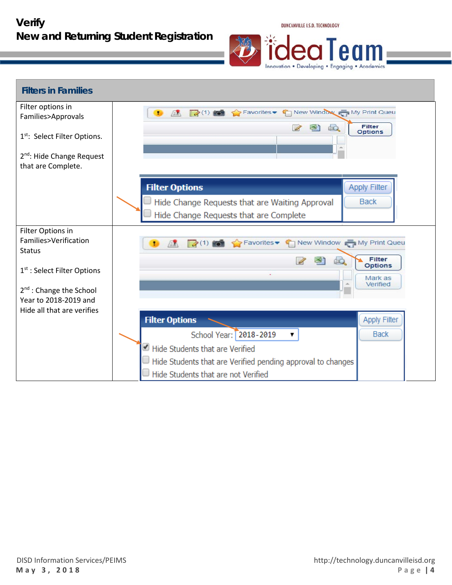# **Verify New and Returning Student Registration**



| <b>Filters in Families</b>                                                       |                                                                                                         |
|----------------------------------------------------------------------------------|---------------------------------------------------------------------------------------------------------|
| Filter options in<br>Families>Approvals                                          | Favorites • T New Window My Print Queu<br>$\mathbb{Z}^{(1)}$ for<br>風                                   |
| 1 <sup>st</sup> : Select Filter Options.                                         | <b>Filter</b><br>国)<br>ds.<br><b>Options</b>                                                            |
| 2 <sup>nd</sup> : Hide Change Request<br>that are Complete.                      |                                                                                                         |
|                                                                                  | <b>Filter Options</b><br><b>Apply Filter</b>                                                            |
|                                                                                  | <b>Back</b><br>Hide Change Requests that are Waiting Approval<br>Hide Change Requests that are Complete |
| Filter Options in<br>Families>Verification<br><b>Status</b>                      | Favorites • T New Window My Print Queu<br>$2^{(1)}$<br>压力<br>t.                                         |
| 1 <sup>st</sup> : Select Filter Options                                          | Filter<br><b>Options</b><br>Mark as                                                                     |
| $2nd$ : Change the School<br>Year to 2018-2019 and<br>Hide all that are verifies | Verified                                                                                                |
|                                                                                  | <b>Filter Options</b><br><b>Apply Filter</b>                                                            |
|                                                                                  | School Year: [2018-2019<br><b>Back</b><br>▼                                                             |
|                                                                                  | Hide Students that are Verified<br>Hide Students that are Verified pending approval to changes          |
|                                                                                  | Hide Students that are not Verified                                                                     |